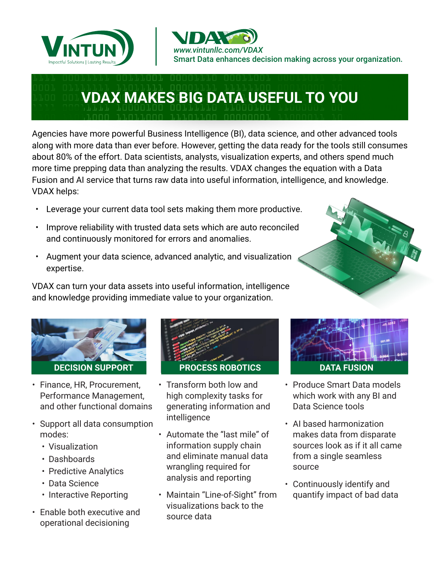



# **VDAX MAKES BIG DATA USEFUL TO YOU**

Agencies have more powerful Business Intelligence (BI), data science, and other advanced tools along with more data than ever before. However, getting the data ready for the tools still consumes about 80% of the effort. Data scientists, analysts, visualization experts, and others spend much more time prepping data than analyzing the results. VDAX changes the equation with a Data Fusion and AI service that turns raw data into useful information, intelligence, and knowledge. VDAX helps:

- Leverage your current data tool sets making them more productive.
- Improve reliability with trusted data sets which are auto reconciled and continuously monitored for errors and anomalies.
- Augment your data science, advanced analytic, and visualization expertise.

VDAX can turn your data assets into useful information, intelligence and knowledge providing immediate value to your organization.



- Finance, HR, Procurement, Performance Management, and other functional domains
- Support all data consumption modes:
	- Visualization
	- Dashboards
	- Predictive Analytics
	- Data Science
	- Interactive Reporting
- Enable both executive and operational decisioning



- Transform both low and high complexity tasks for generating information and intelligence
- Automate the "last mile" of information supply chain and eliminate manual data wrangling required for analysis and reporting
- Maintain "Line-of-Sight" from visualizations back to the source data



- Produce Smart Data models which work with any BI and Data Science tools
- AI based harmonization makes data from disparate sources look as if it all came from a single seamless source
- Continuously identify and quantify impact of bad data